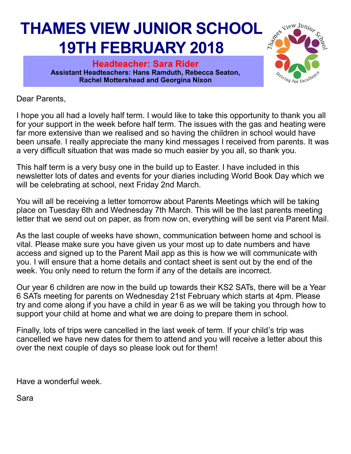## **THAMES VIEW JUNIOR SCHOOL 19TH FEBRUARY 2018**

**Headteacher: Sara Rider Assistant Headteachers: Hans Ramduth, Rebecca Seaton, Rachel Mottershead and Georgina Nixon** 



Dear Parents,

I hope you all had a lovely half term. I would like to take this opportunity to thank you all for your support in the week before half term. The issues with the gas and heating were far more extensive than we realised and so having the children in school would have been unsafe. I really appreciate the many kind messages I received from parents. It was a very difficult situation that was made so much easier by you all, so thank you.

This half term is a very busy one in the build up to Easter. I have included in this newsletter lots of dates and events for your diaries including World Book Day which we will be celebrating at school, next Friday 2nd March.

You will all be receiving a letter tomorrow about Parents Meetings which will be taking place on Tuesday 6th and Wednesday 7th March. This will be the last parents meeting letter that we send out on paper, as from now on, everything will be sent via Parent Mail.

As the last couple of weeks have shown, communication between home and school is vital. Please make sure you have given us your most up to date numbers and have access and signed up to the Parent Mail app as this is how we will communicate with you. I will ensure that a home details and contact sheet is sent out by the end of the week. You only need to return the form if any of the details are incorrect.

Our year 6 children are now in the build up towards their KS2 SATs, there will be a Year 6 SATs meeting for parents on Wednesday 21st February which starts at 4pm. Please try and come along if you have a child in year 6 as we will be taking you through how to support your child at home and what we are doing to prepare them in school.

Finally, lots of trips were cancelled in the last week of term. If your child's trip was cancelled we have new dates for them to attend and you will receive a letter about this over the next couple of days so please look out for them!

Have a wonderful week.

Sara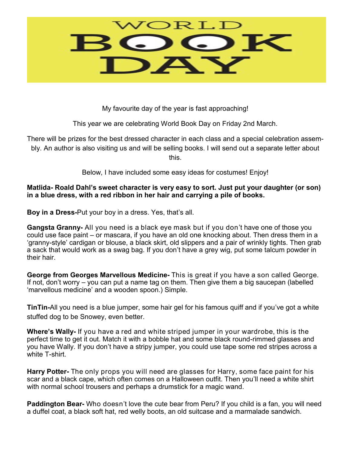

My favourite day of the year is fast approaching!

This year we are celebrating World Book Day on Friday 2nd March.

There will be prizes for the best dressed character in each class and a special celebration assembly. An author is also visiting us and will be selling books. I will send out a separate letter about this.

Below, I have included some easy ideas for costumes! Enjoy!

**Matlida- Roald Dahl's sweet character is very easy to sort. Just put your daughter (or son) in a blue dress, with a red ribbon in her hair and carrying a pile of books.**

**Boy in a Dress-**Put your boy in a dress. Yes, that's all.

**Gangsta Granny-** All you need is a black eye mask but if you don't have one of those you could use face paint – or mascara, if you have an old one knocking about. Then dress them in a 'granny-style' cardigan or blouse, a black skirt, old slippers and a pair of wrinkly tights. Then grab a sack that would work as a swag bag. If you don't have a grey wig, put some talcum powder in their hair.

**George from Georges Marvellous Medicine-** This is great if you have a son called George. If not, don't worry – you can put a name tag on them. Then give them a big saucepan (labelled 'marvellous medicine' and a wooden spoon.) Simple.

**TinTin-**All you need is a blue jumper, some hair gel for his famous quiff and if you've got a white stuffed dog to be Snowey, even better.

**Where's Wally-** If you have a red and white striped jumper in your wardrobe, this is the perfect time to get it out. Match it with a bobble hat and some black round-rimmed glasses and you have Wally. If you don't have a stripy jumper, you could use tape some red stripes across a white T-shirt.

**Harry Potter-** The only props you will need are glasses for Harry, some face paint for his scar and a black cape, which often comes on a Halloween outfit. Then you'll need a white shirt with normal school trousers and perhaps a drumstick for a magic wand.

**Paddington Bear-** Who doesn't love the cute bear from Peru? If you child is a fan, you will need a duffel coat, a black soft hat, red welly boots, an old suitcase and a marmalade sandwich.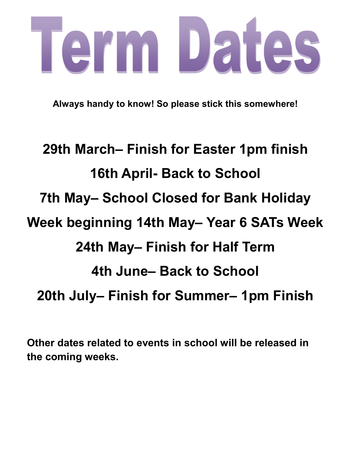## Term Dates

**Always handy to know! So please stick this somewhere!**

## **29th March– Finish for Easter 1pm finish 16th April- Back to School 7th May– School Closed for Bank Holiday Week beginning 14th May– Year 6 SATs Week 24th May– Finish for Half Term 4th June– Back to School 20th July– Finish for Summer– 1pm Finish**

**Other dates related to events in school will be released in the coming weeks.**